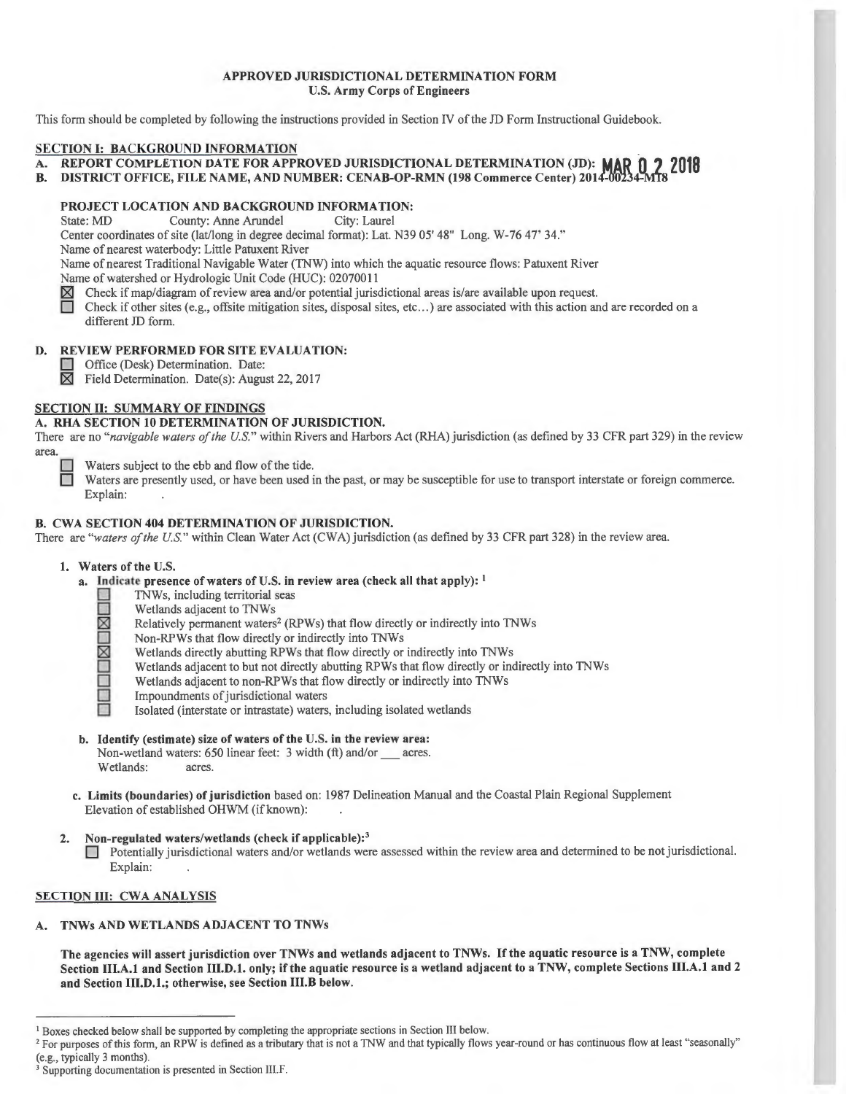## APPROVED JURISDICTIONAL DETERMINATION FORM U.S. Army Corps of Engineers

This form should be completed by following the instructions provided in Section IV of the JD Form Instructional Guidebook.

## SECTION I: BACKGROUND INFORMATION

- A. REPORT COMPLETION DATE FOR APPROVED JURISDICTIONAL DETERMINATION (JD): **MAQ n ? <sup>2018</sup>**
- B. DISTRICT OFFICE, FILE NAME, AND NUMBER: CENAB-OP-RMN (198 Commerce Center) 2014-00234-MT8

# **PROJECT LOCATION AND BACKGROUND INFORMATION:**<br>State: MD County: Anne Arundel City: Laurel

County: Anne Arundel

Center coordinates of site (lat/long in degree decimal format): Lat. N39 05' 48" Long. W-76 47' 34."

Name of nearest waterbody: Little Patuxent River

Name of nearest Traditional Navigable Water (TNW) into which the aquatic resource flows: Patuxent River

Name of watershed or Hydrologic Unit Code (HUC): 02070011

 $\boxtimes$  Check if map/diagram of review area and/or potential jurisdictional areas is/are available upon request.<br>
Check if other sites (e.g., offsite mitigation sites, disposal sites, etc...) are associated with this action

Check if other sites (e.g., offsite mitigation sites, disposal sites, etc...) are associated with this action and are recorded on a different JD form.

## D. REVIEW PERFORMED FOR SITE EVALUATION:

Office (Desk) Determination. Date:<br> $\boxtimes$  Field Determination. Date(s): Augus

Field Determination. Date(s): August 22, 2017

# SECTION II: SUMMARY OF FINDINGS

# A. RHA SECTION 10 DETERMINATION OF JURISDICTION.

There are no "navigable waters of the U.S." within Rivers and Harbors Act (RHA) jurisdiction (as defined by 33 CFR part 329) in the review area.

Waters subject to the ebb and flow of the tide.<br>Waters are presently used, or have been used is

Waters are presently used, or have been used in the past, or may be susceptible for use to transport interstate or foreign commerce. Explain:

# B. CWA SECTION 404 DETERMINATION OF JURISDICTION.

There are "waters of the U.S." within Clean Water Act (CWA) jurisdiction (as defined by 33 CFR part 328) in the review area.

#### I. Waters of the U.S.

- a. Indicate presence of waters of U.S. in review area (check all that apply):  $1$ 
	- **Q** TNWs, including territorial seas
	- **D** Wetlands adjacent to TNWs<br>
	Relatively permanent waters<br>
	Non-RPWs that flow directly
		- Relatively permanent waters<sup>2</sup> (RPWs) that flow directly or indirectly into TNWs
	- Non-RPWs that flow directly or indirectly into TNWs<br>Wetlands directly abutting RPWs that flow directly or<br>Wetlands adjacent to but not directly abutting RPWs the
		- Wetlands directly abutting RPWs that flow directly or indirectly into TNWs
	- Wetlands adjacent to but not directly abutting RPWs that flow directly or indirectly into TNWs<br>Wetlands adjacent to non-RPWs that flow directly or indirectly into TNWs<br>Impoundments of jurisdictional waters
		- Wetlands adjacent to non-RPWs that flow directly or indirectly into TNWs
		- Impoundments of jurisdictional waters
			- 0 Isolated (interstate or intrastate) waters, including isolated wetlands
- b. Identify (estimate) size of waters of the U.S. in the review area: Non-wetland waters: 650 linear feet: 3 width (ft) and/or \_\_\_ acres.<br>Wetlands: acres. Wetlands:
- c. Limits (boundaries) of jurisdiction based on: 1987 Delineation Manual and the Coastal Plain Regional Supplement Elevation of established OHWM (if known):
- 2. Non-regulated waters/wetlands (check if applicable):<sup>3</sup>

D Potentially jurisdictional waters and/or wetlands were assessed within the review area and determined to be not jurisdictional. Explain:

#### SECTION III: CWA ANALYSIS

A. TNWs AND WETLANDS ADJACENT TO TNWs

The agencies will assert jurisdiction over TNWs and wetlands adjacent to TNWs. If the aquatic resource is a TNW, complete Section Ill.A.I and Section III.D.l. only; if the aquatic resource is a wetland adjacent to a TNW, complete Sections III.A.I and 2 and Section **111.D.l.;** otherwise, see Section **111.B** below.

 $1$  Boxes checked below shall be supported by completing the appropriate sections in Section III below.<br> $2$  For purposes of this form, an RPW is defined as a tributary that is not a TNW and that typically flows year-round

<sup>(</sup>e.g., typically 3 months).  $3$  Supporting documentation is presented in Section III. F.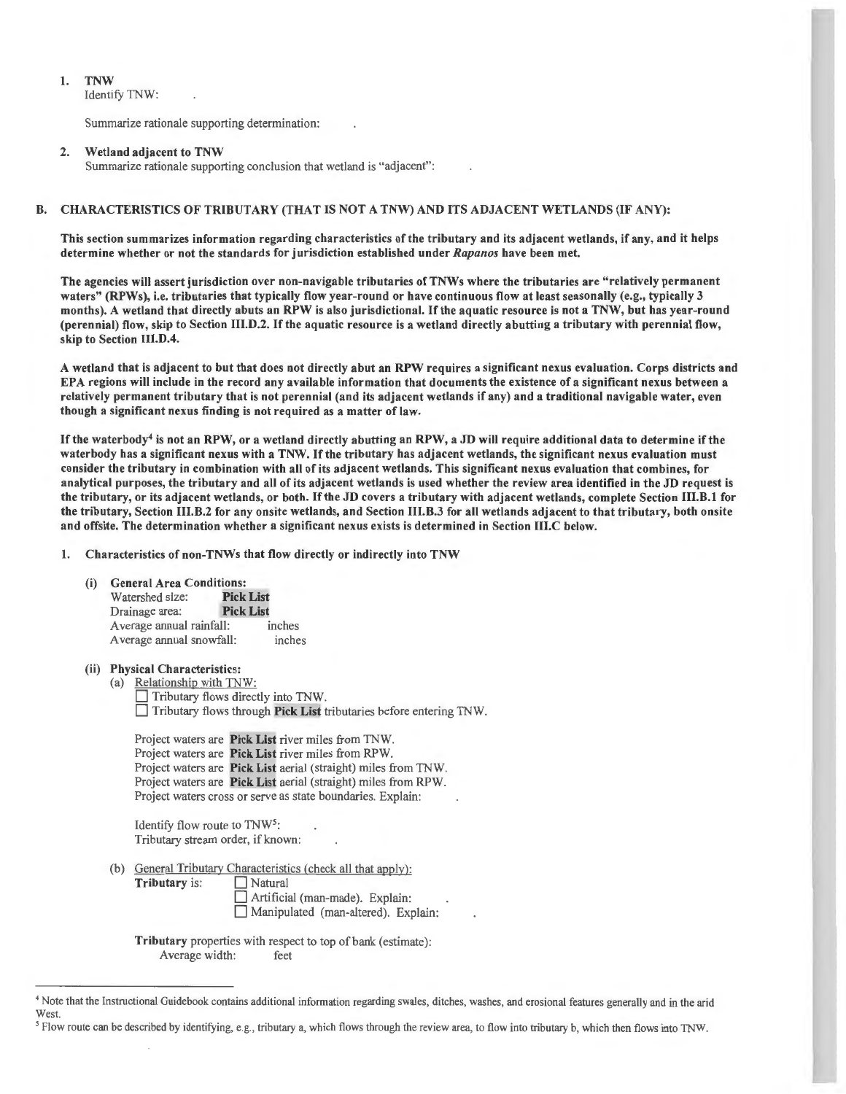#### 1. TNW

Identify TNW:

Summarize rationale supporting determination:

#### 2. Wetland adjacent to TNW

Summarize rationale supporting conclusion that wetland is "adjacent":

### B. CHARACTERISTICS OF TRIBUTARY (THAT IS NOT A TNW) AND ITS ADJACENT WETLANDS (IF ANY):

This section summarizes information regarding characteristics of the tributary and its adjacent wetlands, if any, and it helps determine whether or not the standards for jurisdiction established under *Rapanos* have been met.

The agencies will assert jurisdiction over non-navigable tributaries of TNWs where the tributaries are "relatively permanent waters" (RPWs), i.e. tributaries that typically flow year-round or have continuous flow at least seasonally (e.g., typically 3 months). A wetland that directly abuts an RPW is also jurisdictional. If the aquatic resource is not a TNW, but has year-round (perennial) flow, skip to Section III.D.2. If the aquatic resource is a wetland directly abutting a tributary with perennial flow, skip to Section 111.D.4.

A wetland that is adjacent to but that does not directly abut an RPW requires a significant nexus evaluation. Corps districts and EPA regions will include in the record any available information that documents the existence of a significant nexus between a relatively permanent tributary that is not perennial (and its adjacent wetlands if any) and a traditional navigable water, even though a significant nexus finding is not required as a matter of law.

If the waterbody<sup>4</sup> is not an RPW, or a wetland directly abutting an RPW, a JD will require additional data to determine if the waterbody has a significant nexus with a TNW. If the tributary has adjacent wetlands, the significant nexus evaluation must consider the tributary in combination with all of its adjacent wetlands. This significant nexus evaluation that combines, for analytical purposes, the tributary and all of its adjacent wetlands is used whether the review area identified in the JD request is the tributary, or its adjacent wetlands, or both. If the JD covers a tributary with adjacent wetlands, complete Section 111.B.1 for the tributary, Section 111.B.2 for any onsite wetlands, and Section 111.B.3 for all wetlands adjacent to that tributary, both onsite and offsite. The determination whether a significant nexus exists is determined in Section 111.C below.

1. Characteristics of non-TNWs that flow directly or indirectly into TNW

#### (i) General Area Conditions:

| Watershed size:          | <b>Pick List</b> |
|--------------------------|------------------|
| Drainage area:           | <b>Pick List</b> |
| Average annual rainfall: | inches           |
| Average annual snowfall: | inches           |

#### (ii) Physical Characteristics:

Tributary is:

(a) Relationship with TNW:

Tributary flows directly into TNW.

 $\Box$  Tributary flows through Pick List tributaries before entering TNW.

Project waters are Pick List river miles from TNW. Project waters are Pick List river miles from RPW. Project waters are Pick List aerial (straight) miles from TNW. Project waters are Pick List aerial (straight) miles from RPW. Project waters cross or serve as state boundaries. Explain:

Identify flow route to TNW5: Tributary stream order, if known:

(b) General Tributary Characteristics (check all that apply):<br> **Tributary** is:  $\Box$  Natural

Artificial (man-made). Explain: **D** Manipulated (man-altered). Explain:

Tributary properties with respect to top of bank (estimate): Average width: feet

<sup>5</sup> Flow route can be described by identifying, e.g., tributary a, which flows through the review area, to flow into tributary b, which then flows into TNW.

<sup>&</sup>lt;sup>4</sup> Note that the Instructional Guidebook contains additional information regarding swales, ditches, washes, and erosional features generally and in the arid West.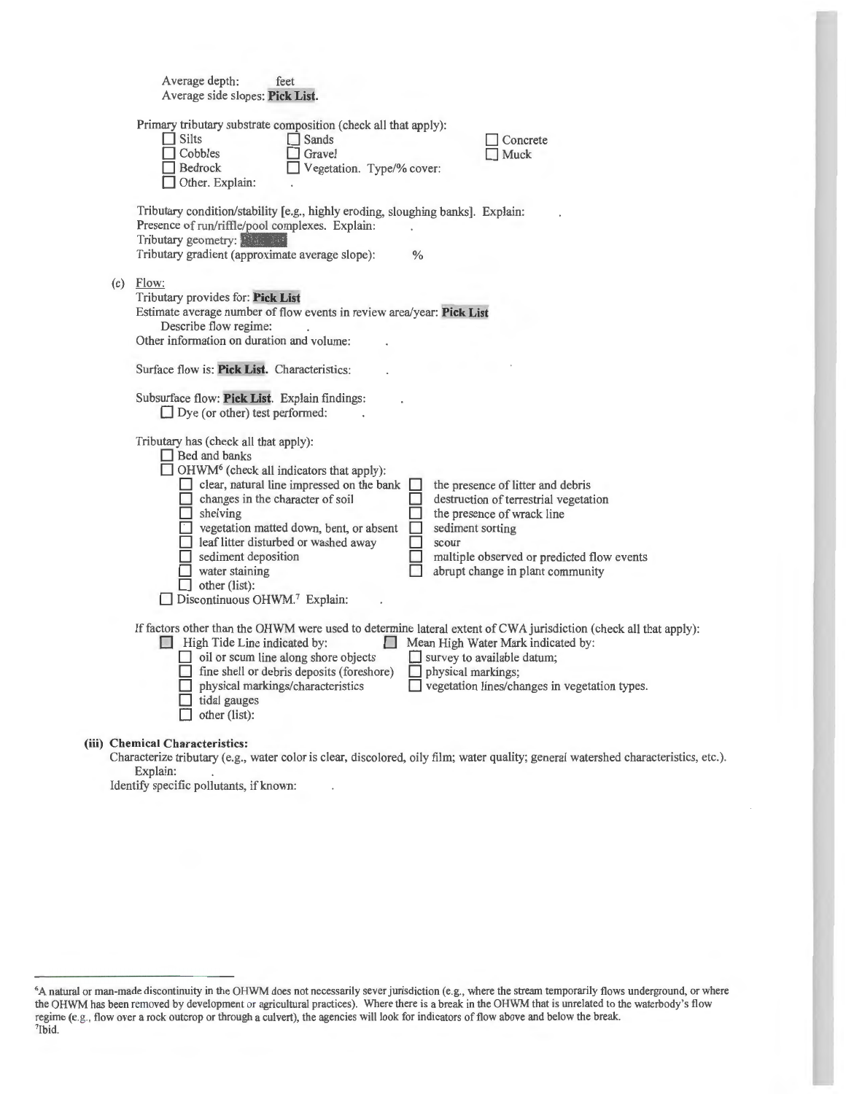| Average depth:<br>feet<br>Average side slopes: Pick List.                                                                                                                                                                                                                                                                                                                                                                                                                                                                                                                                                                                                           |
|---------------------------------------------------------------------------------------------------------------------------------------------------------------------------------------------------------------------------------------------------------------------------------------------------------------------------------------------------------------------------------------------------------------------------------------------------------------------------------------------------------------------------------------------------------------------------------------------------------------------------------------------------------------------|
| Primary tributary substrate composition (check all that apply):<br>$\Box$ Silts<br>Sands<br>Concrete<br>Cobbles<br>Gravel<br>Muck<br>Bedrock<br>Vegetation. Type/% cover:<br>Other. Explain:                                                                                                                                                                                                                                                                                                                                                                                                                                                                        |
| Tributary condition/stability [e.g., highly eroding, sloughing banks]. Explain:<br>Presence of run/riffle/pool complexes. Explain:<br>Tributary geometry: Flate and<br>Tributary gradient (approximate average slope):<br>$\%$                                                                                                                                                                                                                                                                                                                                                                                                                                      |
| $(c)$ Flow:<br>Tributary provides for: Pick List<br>Estimate average number of flow events in review area/year: Pick List<br>Describe flow regime:<br>Other information on duration and volume:<br>Surface flow is: Pick List. Characteristics:<br>Subsurface flow: Pick List. Explain findings:<br>$\Box$ Dye (or other) test performed:                                                                                                                                                                                                                                                                                                                           |
| Tributary has (check all that apply):<br>$\Box$ Bed and banks<br>$\Box$ OHWM <sup>6</sup> (check all indicators that apply):<br>$\Box$ clear, natural line impressed on the bank<br>the presence of litter and debris<br>changes in the character of soil<br>destruction of terrestrial vegetation<br>shelving<br>the presence of wrack line<br>sediment sorting<br>vegetation matted down, bent, or absent<br>leaf litter disturbed or washed away<br>scour<br>sediment deposition<br>multiple observed or predicted flow events<br>water staining<br>abrupt change in plant community<br>$\Box$ other (list):<br>$\Box$ Discontinuous OHWM. <sup>7</sup> Explain: |
| If factors other than the OHWM were used to determine lateral extent of CWA jurisdiction (check all that apply):<br>High Tide Line indicated by:<br>Mean High Water Mark indicated by:<br>$\Box$ oil or scum line along shore objects<br>survey to available datum;<br>fine shell or debris deposits (foreshore)<br>physical markings;<br>ш<br>vegetation lines/changes in vegetation types.<br>physical markings/characteristics<br>tidal gauges<br>other (list):                                                                                                                                                                                                  |
| (iii) Chemical Characteristics:                                                                                                                                                                                                                                                                                                                                                                                                                                                                                                                                                                                                                                     |

Characterize tributary (e.g., water color is clear, discolored, oily film; water quality; general watershed characteristics, etc.). Explain:

Identify specific pollutants, if known:

<sup>6</sup>A natural or man-made discontinuity in the OHWM does not necessarily sever jurisdiction (e.g., where the stream temporarily flows underground, or where the OHWM has been removed by development or agricultural practices). Where there is a break in the OHWM that is unrelated to the waterbody's flow regime (e.g., flow over a rock outcrop or through a culvert), the agencies will look for indicators of flow above and below the break. 7Ibid.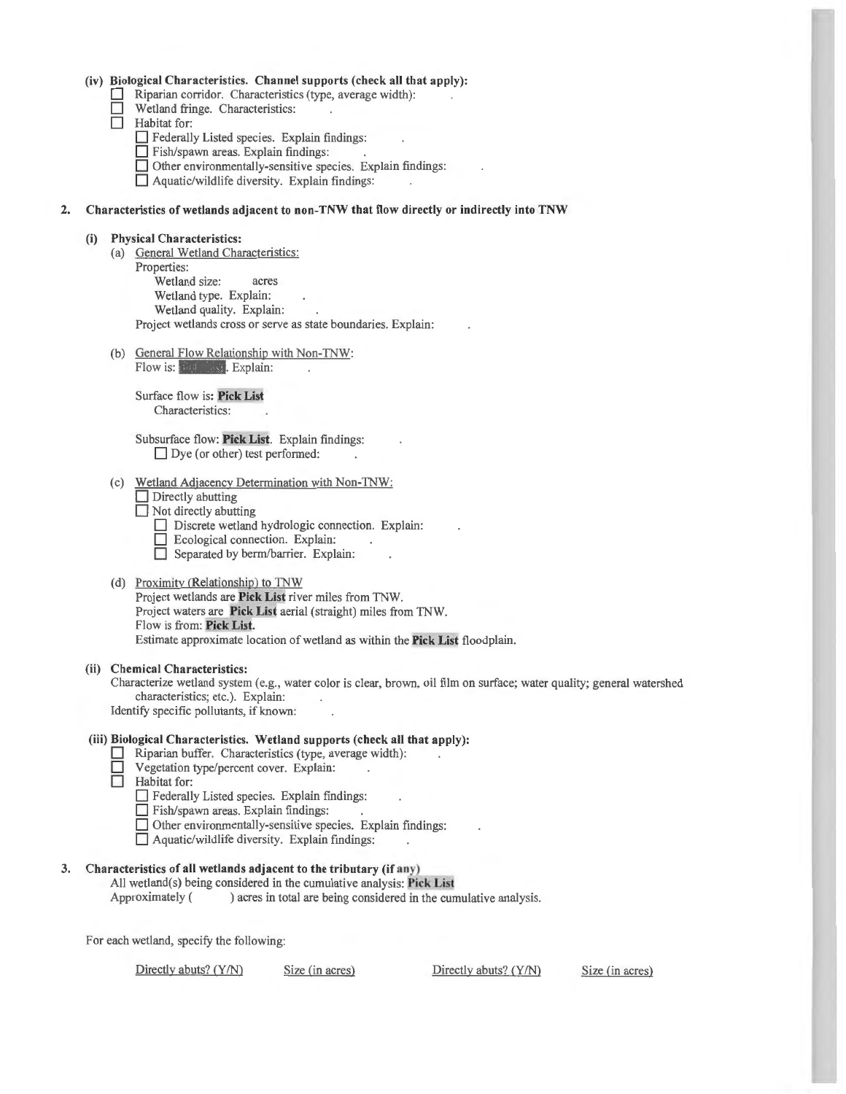#### **(iv) Biological Characteristics. Channel supports (check all that apply):**

- Riparian corridor. Characteristics (type, average width):
- **D** Wetland fringe. Characteristics:<br> **D** Habitat for:
- **Habitat** for:
	- $\Box$  Federally Listed species. Explain findings:
	- $\Box$  Fish/spawn areas. Explain findings:
	- □ Other environmentally-sensitive species. Explain findings:
	- $\Box$  Aquatic/wildlife diversity. Explain findings:

#### **2. Characteristics of wetlands adj acent to non-TNW that fl ow directly or indirectly into TNW**

#### **(i) Physica l Characteristics:**

- (a) General Wetland Characteristics: Properties: Wetland size: acres Wetland type. Explain: Wetland quality. Explain: Project wetlands cross or serve as state boundaries. Explain:
- (b) General Flow Relationship with Non-TNW: Flow is: **Pick List. Explain:**

Surface flow is: **Pick List**  Characteristics:

Subsurface flow: **Pick List**. Explain findings: Dye (or other) test performed:

- (c) Wetland Adjacency Determination with Non-TNW: **Directly abutting** 
	- **D** Not directly abutting
		- Discrete wetland hydrologic connection. Explain:
		- D Ecological connection. Explain:
		- **D** Separated by berm/barrier. Explain:
- (d) Proximity (Relationship) to TNW Project wetlands are Pick List river miles from TNW. Project waters are **Pick List** aerial (straight) miles from TNW. Flow is from: Pick List. Estimate approximate location of wetland as within the Pick List floodplain.

#### **(ii) Chemical Characteristics:**

Characterize wetland system (e.g., water color is clear, brown, oil film on surface; water quality; general watershed characteristics; etc.). Explain: Identify specific pollutants, if known:

#### **(iii) Biological Characteristics. Wetland supports (check all that apply):**

- **D** Riparian buffer. Characteristics (type, average width):
- **D** Vegetation type/percent cover. Explain:
- **D** Habitat for:
	- $\Box$  Federally Listed species. Explain findings:
	- **D** Fish/spawn areas. Explain findings:
	- $\Box$  Other environmentally-sensitive species. Explain findings:
	- $\Box$  Aquatic/wildlife diversity. Explain findings:

# **3. Characteristics of all wetlands adj acent to the tributary (if any)**

All wetland(s) being considered in the cumulative analysis: **Pick List**  Approximately () acres in total are being considered in the cumulative analysis.

For each wetland, specify the following:

Directly abuts? (Y/N) Size (in acres) Directly abuts? (Y/N) Size (in acres)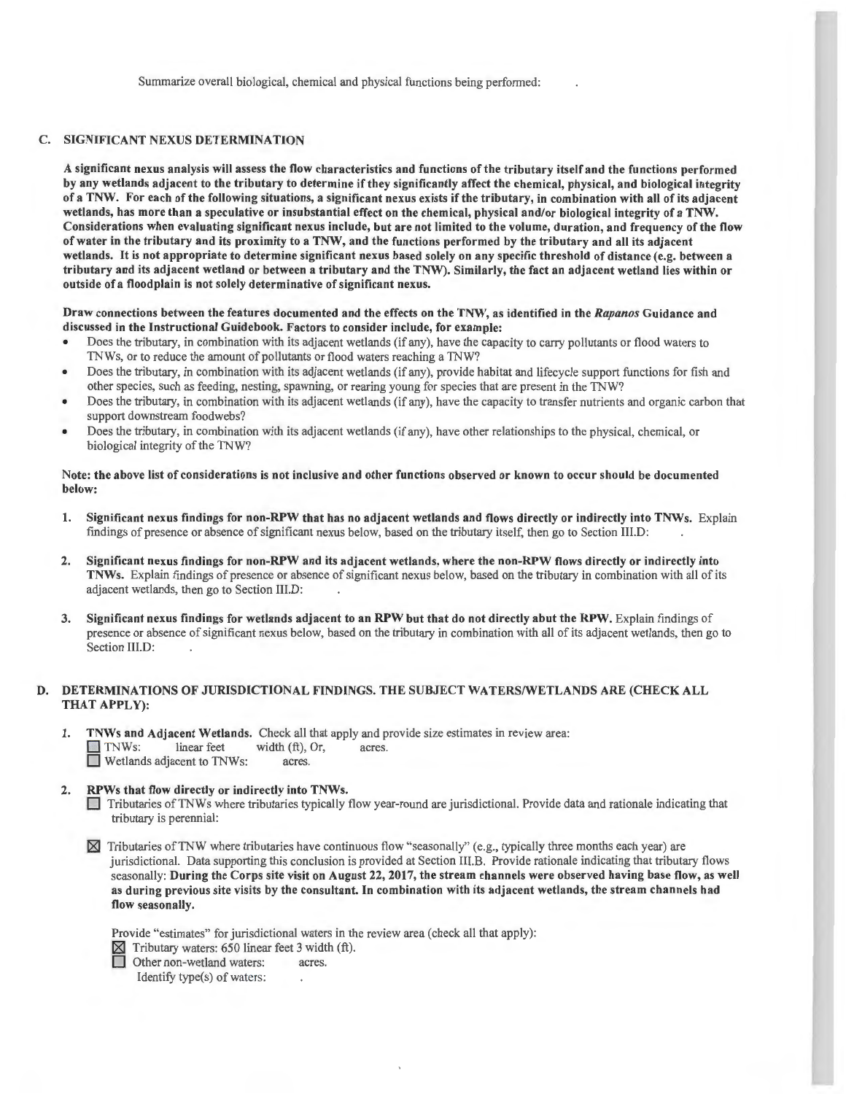## C. SIGNIFICANT NEXUS DETERMINATION

A significant nexus analysis will assess the flow characteristics and functions of the tributary itself and the functions performed by any wetlands adjacent to the tributary to determine if they significantly affect the chemical, physical, and biological integrity of a TNW. For each of the following situations, a significant nexus exists if the tributary, in combination with all of its adjacent wetlands, has more than a speculative or insubstantial effect on the chemical, physical and/or biological integrity of a TNW. Considerations when evaluating significant nexus include, but are not limited to the volume, duration, and frequency of the flow of water in the tributary and its proximity to a TNW, and the functions performed by the tributary and all its adjacent wetlands. It is not appropriate to determine significant nexus based solely on any specific threshold of distance (e.g. between a tributary and its adjacent wetland or between a tributary and the TNW). Similarly, the fact an adjacent wetland lies within or outside of a floodplain is not solely determinative of significant nexus.

#### Draw connections between the features documented and the effects on the TNW, as identified in the *Rapanos* Guidance and discussed in the Instructional Guidebook. Factors to consider include, for example:

- Does the tributary, in combination with its adjacent wetlands (if any), have the capacity to carry pollutants or flood waters to TNWs, or to reduce the amount of pollutants or flood waters reaching a TNW?
- Does the tributary, in combination with its adjacent wetlands (if any), provide habitat and lifecycle support functions for fish and other species, such as feeding, nesting, spawning, or rearing young for species that are present in the TNW?
- Does the tributary, in combination with its adjacent wetlands (if any), have the capacity to transfer nutrients and organic carbon that support downstream foodwebs?
- Does the tributary, in combination with its adjacent wetlands (if any), have other relationships to the physical, chemical, or biological integrity of the TNW?

#### Note: the above list of considerations is not inclusive and other functions observed or known to occur should be documented below:

- I. Significant nexus findings for non-RPW that has no adjacent wetlands and flows directly or indirectly into TNWs. Explain findings of presence or absence of significant nexus below, based on the tributary itself, then go to Section III.D:
- 2. Significant nexus findings for non-RPW and its adjacent wetlands, where the non-RPW flows directly or indirectly into TNWs. Explain findings of presence or absence of significant nexus below, based on the tributary in combination with all of its adjacent wetlands, then go to Section III.D:
- 3. Significant nexus findings for wetlands adjacent to an RPW but that do not directly abut the RPW. Explain findings of presence or absence of significant nexus below, based on the tributary in combination with all of its adjacent wetlands, then go to Section III.D:

#### D. DETERMINATIONS OF JURISDICTIONAL FINDINGS. THE SUBJECT WATERS/WETLANDS ARE (CHECK ALL THAT APPLY):

- I. TNWs and Adjacent Wetlands. Check all that apply and provide size estimates in review area: TNWs: linear feet width (ft), Or, acres. **D** Wetlands adjacent to TNWs: acres.
- 2. RPWs that flow directly or indirectly into TNWs.

0 Tributaries ofTNWs where tributaries typically flow year-round are jurisdictional. Provide data and rationale indicating that tributary is perennial:

 $\boxtimes$  Tributaries of TNW where tributaries have continuous flow "seasonally" (e.g., typically three months each year) are jurisdictional. Data supporting this conclusion is provided at Section IIl.B. Provide rationale indicating that tributary flows seasonally: During the Corps site visit on August 22, 2017, the stream channels were observed having base flow, as well as during previous site visits by the consultant. In combination with its adjacent wetlands, the stream channels had flow seasonally.

Provide "estimates" for jurisdictional waters in the review area (check all that apply):

 $\boxtimes$  Tributary waters: 650 linear feet 3 width (ft). Other non-wetland waters: acres. Identify type(s) of waters: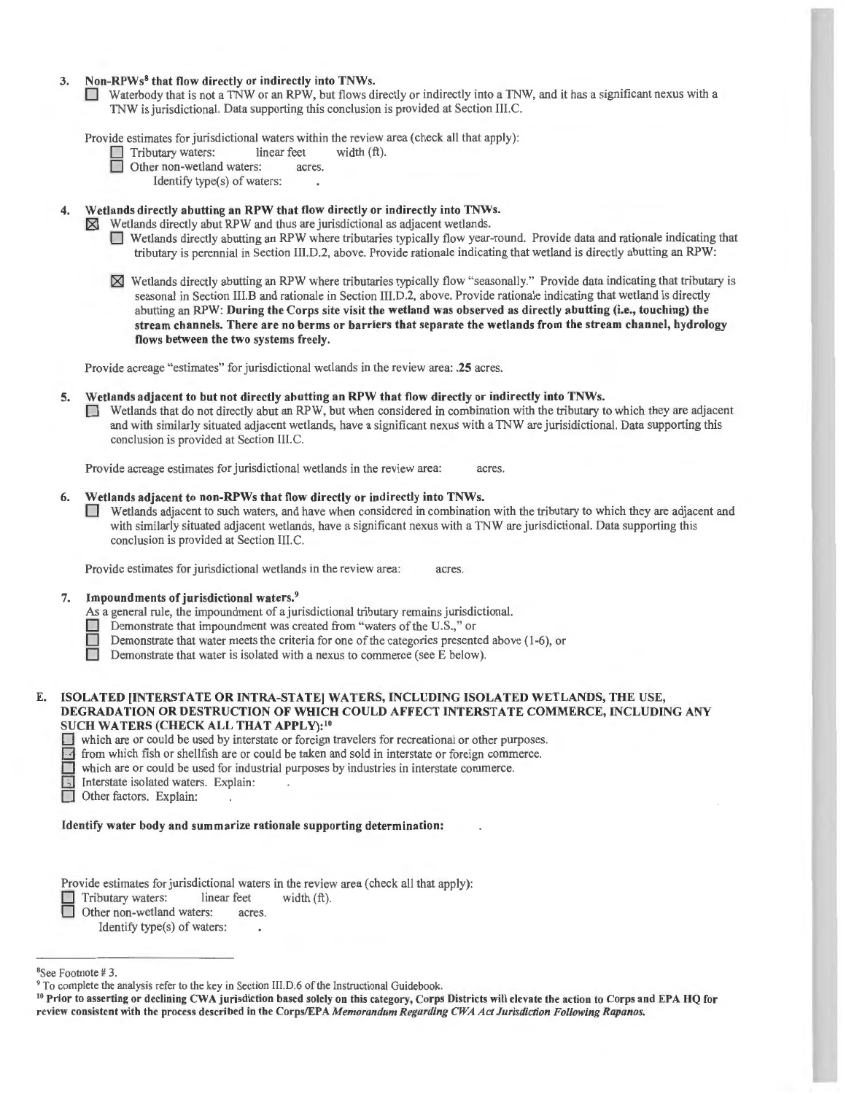#### 3. Non-RPWs<sup>8</sup> that flow directly or indirectly into TNWs.

 $\Box$  Waterbody that is not a TNW or an RPW, but flows directly or indirectly into a TNW, and it has a significant nexus with a TN W is jurisdictional. Data supporting this conclusion is provided at Section III.C.

Provide estimates for jurisdictional waters within the review area (check all that apply):<br>  $\Box$  Tributary waters: linear feet width (ft).

- Tributary waters: linear feet<br>
Other non-wetland waters: acres.
- Other non-wetland waters:

Identify type(s) of waters:

4. Wetlands directly abutting an RPW that flow directly or indirectly into TNWs.<br> $\boxtimes$  Wetlands directly abut RPW and thus are jurisdictional as adjacent wetlands.

Wetlands directly abut RPW and thus are jurisdictional as adjacent wetlands.

- $\Box$  Wetlands directly abutting an RPW where tributaries typically flow year-round. Provide data and rationale indicating that tributary is perennial in Section 111. D.2, above. Provide rationale indicating that wetland is directly abutting an RPW:
- ~ Wetlands directly abutti ng an RPW where tributaries typically fl ow "seasonally." Provide data indicating that tributary is seasonal in Section III.B and rationale in Section III.D.2, above. Provide rationale indicating that wetland is directly abutting an RPW: During the Corps site visit the wetland was observed as directly abutting (i.e., touching) the stream channels. There are no berms or barriers that separate the wetlands from the stream channel, hydrology flows between the two systems freely.

Provide acreage "estimates" for jurisdictional wetlands in the review area: .25 acres.

#### 5. Wetlands adjacent to but not directly abutting an RPW that flow directly or indirectly into TNWs.

D Wetlands that do not directly abut an RPW, but when considered in combination with the tributary to which they are adjacent and with similarly situated adjacent wetlands, have a significant nexus with a TN W are jurisidictional. Data supporting this conclusion is provided at Section III.C.

Provide acreage estimates for jurisdictional wetlands in the review area: acres.

#### 6. Wetlands adjacent to non-RPWs that flow directly or indirectly into TNWs.

 $\Box$  Wetlands adjacent to such waters, and have when considered in combination with the tributary to which they are adjacent and with similarly situated adjacent wetlands, have a significant nexus with a TNW are jurisdictional. Data supporting this conclusion is provided at Section III.C.

Provide estimates for jurisdictional wetlands in the review area: acres.

#### 7. Impoundments of jurisdictional waters.<sup>9</sup>

- As a general rule, the impoundment of a jurisdictional tributary remains jurisdictional.
- Demonstrate that impoundment was created from "waters of the U.S.," or
- Demonstrate that water meets the criteria for one of the categories presented above (1-6), or<br>Demonstrate that water is isolated with a nexus to commerce (see E below).
- Demonstrate that water is isolated with a nexus to commerce (see E below).

#### ISOLATED [INTERSTATE OR INTRA-STATE] WATERS, INCLUDING ISOLATED WETLANDS, THE USE, DEGRADATION OR DESTRUCTION OF WHICH COULD AFFECT INTERSTATE COMMERCE, INCLUDING ANY SUCH WATERS (CHECK ALL THAT APPLY):<sup>10</sup>

 $\Box$  which are or could be used by interstate or foreign travelers for recreational or other purposes.

For from which fish or shellfish are or could be taken and sold in interstate or foreign commerce.

 $\Box$  which are or could be used for industrial purposes by industries in interstate commerce.

**El** Interstate isolated waters. Explain:

Other factors. Explain:

Identify water body and summarize rationale supporting determination:

Provide estimates for jurisdictional waters in the review area (check all that apply): Tributary waters: linear feet width (ft). Other non-wetland waters: acres.

Identify type(s) of waters:

<sup>&</sup>lt;sup>8</sup>See Footnote #3.

<sup>&</sup>lt;sup>9</sup> To complete the analysis refer to the key in Section III.D.6 of the Instructional Guidebook.<br><sup>10</sup> Prior to asserting or declining CWA jurisdiction based solely on this category, Corps Districts will elevate the action review consistent with the process described in the Corps/EPA Memorandum Regarding CWA Act Jurisdiction Following Rapanos.